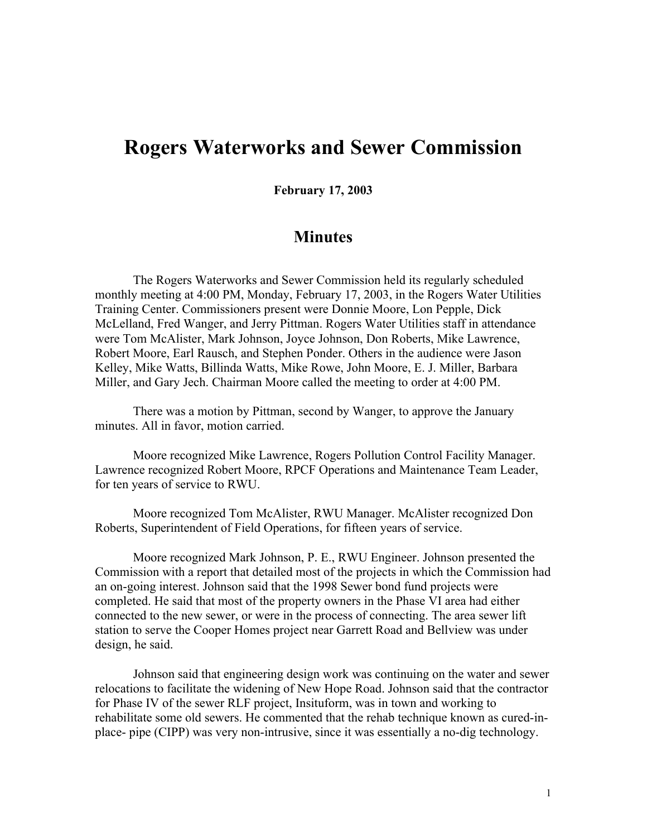## **Rogers Waterworks and Sewer Commission**

**February 17, 2003**

## **Minutes**

The Rogers Waterworks and Sewer Commission held its regularly scheduled monthly meeting at 4:00 PM, Monday, February 17, 2003, in the Rogers Water Utilities Training Center. Commissioners present were Donnie Moore, Lon Pepple, Dick McLelland, Fred Wanger, and Jerry Pittman. Rogers Water Utilities staff in attendance were Tom McAlister, Mark Johnson, Joyce Johnson, Don Roberts, Mike Lawrence, Robert Moore, Earl Rausch, and Stephen Ponder. Others in the audience were Jason Kelley, Mike Watts, Billinda Watts, Mike Rowe, John Moore, E. J. Miller, Barbara Miller, and Gary Jech. Chairman Moore called the meeting to order at 4:00 PM.

There was a motion by Pittman, second by Wanger, to approve the January minutes. All in favor, motion carried.

Moore recognized Mike Lawrence, Rogers Pollution Control Facility Manager. Lawrence recognized Robert Moore, RPCF Operations and Maintenance Team Leader, for ten years of service to RWU.

Moore recognized Tom McAlister, RWU Manager. McAlister recognized Don Roberts, Superintendent of Field Operations, for fifteen years of service.

Moore recognized Mark Johnson, P. E., RWU Engineer. Johnson presented the Commission with a report that detailed most of the projects in which the Commission had an on-going interest. Johnson said that the 1998 Sewer bond fund projects were completed. He said that most of the property owners in the Phase VI area had either connected to the new sewer, or were in the process of connecting. The area sewer lift station to serve the Cooper Homes project near Garrett Road and Bellview was under design, he said.

Johnson said that engineering design work was continuing on the water and sewer relocations to facilitate the widening of New Hope Road. Johnson said that the contractor for Phase IV of the sewer RLF project, Insituform, was in town and working to rehabilitate some old sewers. He commented that the rehab technique known as cured-inplace- pipe (CIPP) was very non-intrusive, since it was essentially a no-dig technology.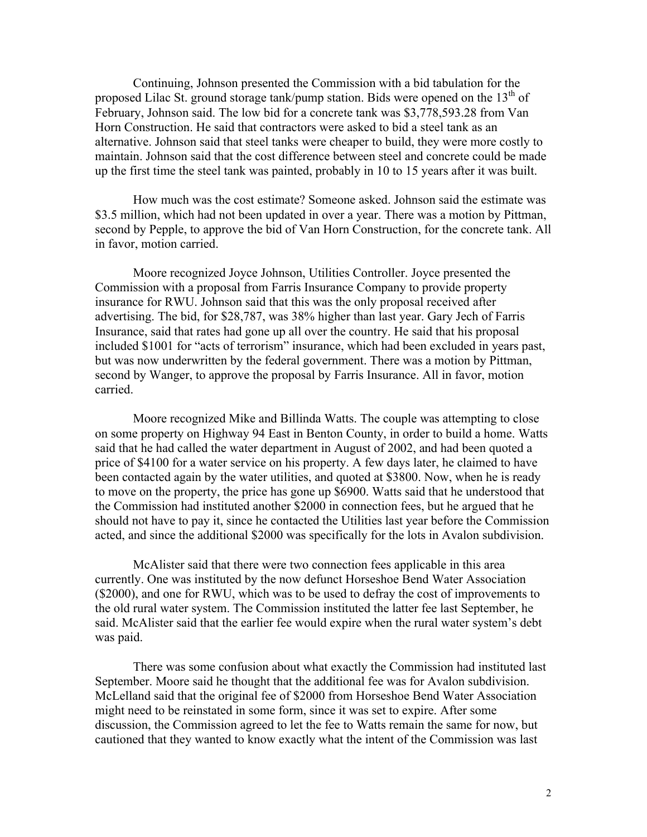Continuing, Johnson presented the Commission with a bid tabulation for the proposed Lilac St. ground storage tank/pump station. Bids were opened on the  $13<sup>th</sup>$  of February, Johnson said. The low bid for a concrete tank was \$3,778,593.28 from Van Horn Construction. He said that contractors were asked to bid a steel tank as an alternative. Johnson said that steel tanks were cheaper to build, they were more costly to maintain. Johnson said that the cost difference between steel and concrete could be made up the first time the steel tank was painted, probably in 10 to 15 years after it was built.

How much was the cost estimate? Someone asked. Johnson said the estimate was \$3.5 million, which had not been updated in over a year. There was a motion by Pittman, second by Pepple, to approve the bid of Van Horn Construction, for the concrete tank. All in favor, motion carried.

Moore recognized Joyce Johnson, Utilities Controller. Joyce presented the Commission with a proposal from Farris Insurance Company to provide property insurance for RWU. Johnson said that this was the only proposal received after advertising. The bid, for \$28,787, was 38% higher than last year. Gary Jech of Farris Insurance, said that rates had gone up all over the country. He said that his proposal included \$1001 for "acts of terrorism" insurance, which had been excluded in years past, but was now underwritten by the federal government. There was a motion by Pittman, second by Wanger, to approve the proposal by Farris Insurance. All in favor, motion carried.

Moore recognized Mike and Billinda Watts. The couple was attempting to close on some property on Highway 94 East in Benton County, in order to build a home. Watts said that he had called the water department in August of 2002, and had been quoted a price of \$4100 for a water service on his property. A few days later, he claimed to have been contacted again by the water utilities, and quoted at \$3800. Now, when he is ready to move on the property, the price has gone up \$6900. Watts said that he understood that the Commission had instituted another \$2000 in connection fees, but he argued that he should not have to pay it, since he contacted the Utilities last year before the Commission acted, and since the additional \$2000 was specifically for the lots in Avalon subdivision.

McAlister said that there were two connection fees applicable in this area currently. One was instituted by the now defunct Horseshoe Bend Water Association (\$2000), and one for RWU, which was to be used to defray the cost of improvements to the old rural water system. The Commission instituted the latter fee last September, he said. McAlister said that the earlier fee would expire when the rural water system's debt was paid.

There was some confusion about what exactly the Commission had instituted last September. Moore said he thought that the additional fee was for Avalon subdivision. McLelland said that the original fee of \$2000 from Horseshoe Bend Water Association might need to be reinstated in some form, since it was set to expire. After some discussion, the Commission agreed to let the fee to Watts remain the same for now, but cautioned that they wanted to know exactly what the intent of the Commission was last